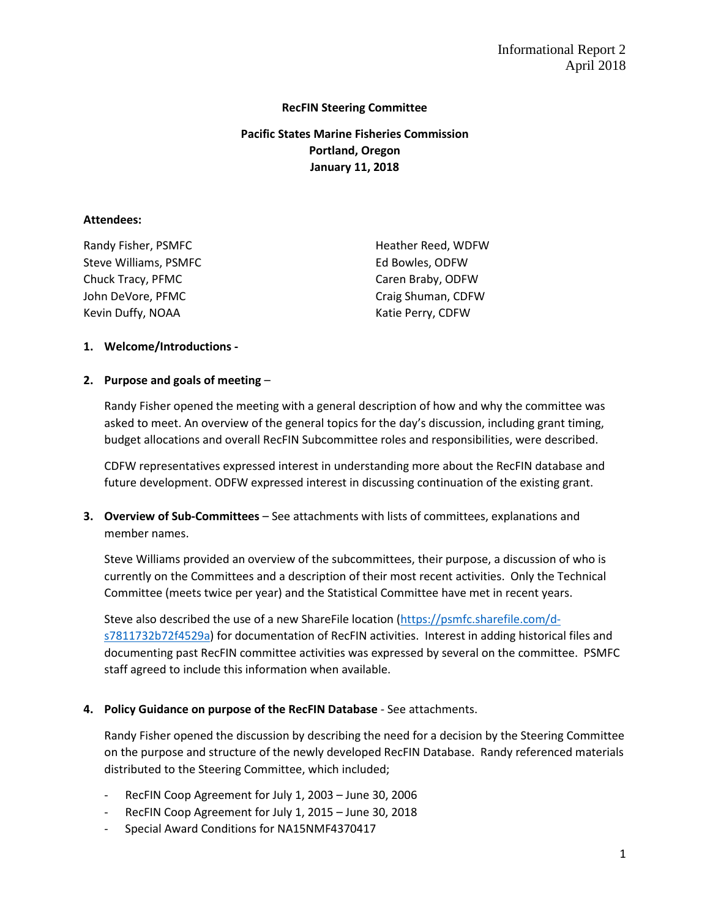### **RecFIN Steering Committee**

# **Pacific States Marine Fisheries Commission Portland, Oregon January 11, 2018**

#### **Attendees:**

| Randy Fisher, PSMFC   | Heather Reed, WDFW |
|-----------------------|--------------------|
| Steve Williams, PSMFC | Ed Bowles, ODFW    |
| Chuck Tracy, PFMC     | Caren Braby, ODFW  |
| John DeVore, PFMC     | Craig Shuman, CDFW |
| Kevin Duffy, NOAA     | Katie Perry, CDFW  |

### **1. Welcome/Introductions -**

### **2. Purpose and goals of meeting** –

Randy Fisher opened the meeting with a general description of how and why the committee was asked to meet. An overview of the general topics for the day's discussion, including grant timing, budget allocations and overall RecFIN Subcommittee roles and responsibilities, were described.

CDFW representatives expressed interest in understanding more about the RecFIN database and future development. ODFW expressed interest in discussing continuation of the existing grant.

**3. Overview of Sub-Committees** – See attachments with lists of committees, explanations and member names.

Steve Williams provided an overview of the subcommittees, their purpose, a discussion of who is currently on the Committees and a description of their most recent activities. Only the Technical Committee (meets twice per year) and the Statistical Committee have met in recent years.

Steve also described the use of a new ShareFile location [\(https://psmfc.sharefile.com/d](https://psmfc.sharefile.com/d-s7811732b72f4529a)[s7811732b72f4529a\)](https://psmfc.sharefile.com/d-s7811732b72f4529a) for documentation of RecFIN activities. Interest in adding historical files and documenting past RecFIN committee activities was expressed by several on the committee. PSMFC staff agreed to include this information when available.

### **4. Policy Guidance on purpose of the RecFIN Database** - See attachments.

Randy Fisher opened the discussion by describing the need for a decision by the Steering Committee on the purpose and structure of the newly developed RecFIN Database. Randy referenced materials distributed to the Steering Committee, which included;

- RecFIN Coop Agreement for July 1, 2003 June 30, 2006
- RecFIN Coop Agreement for July 1, 2015 June 30, 2018
- Special Award Conditions for NA15NMF4370417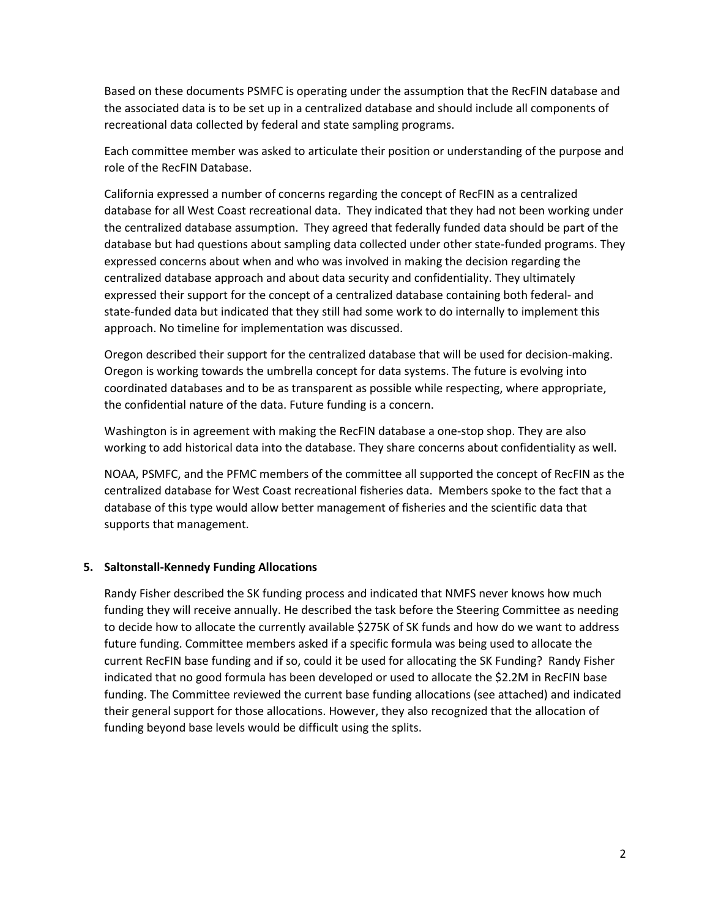Based on these documents PSMFC is operating under the assumption that the RecFIN database and the associated data is to be set up in a centralized database and should include all components of recreational data collected by federal and state sampling programs.

Each committee member was asked to articulate their position or understanding of the purpose and role of the RecFIN Database.

California expressed a number of concerns regarding the concept of RecFIN as a centralized database for all West Coast recreational data. They indicated that they had not been working under the centralized database assumption. They agreed that federally funded data should be part of the database but had questions about sampling data collected under other state-funded programs. They expressed concerns about when and who was involved in making the decision regarding the centralized database approach and about data security and confidentiality. They ultimately expressed their support for the concept of a centralized database containing both federal- and state-funded data but indicated that they still had some work to do internally to implement this approach. No timeline for implementation was discussed.

Oregon described their support for the centralized database that will be used for decision-making. Oregon is working towards the umbrella concept for data systems. The future is evolving into coordinated databases and to be as transparent as possible while respecting, where appropriate, the confidential nature of the data. Future funding is a concern.

Washington is in agreement with making the RecFIN database a one-stop shop. They are also working to add historical data into the database. They share concerns about confidentiality as well.

NOAA, PSMFC, and the PFMC members of the committee all supported the concept of RecFIN as the centralized database for West Coast recreational fisheries data. Members spoke to the fact that a database of this type would allow better management of fisheries and the scientific data that supports that management.

### **5. Saltonstall-Kennedy Funding Allocations**

Randy Fisher described the SK funding process and indicated that NMFS never knows how much funding they will receive annually. He described the task before the Steering Committee as needing to decide how to allocate the currently available \$275K of SK funds and how do we want to address future funding. Committee members asked if a specific formula was being used to allocate the current RecFIN base funding and if so, could it be used for allocating the SK Funding? Randy Fisher indicated that no good formula has been developed or used to allocate the \$2.2M in RecFIN base funding. The Committee reviewed the current base funding allocations (see attached) and indicated their general support for those allocations. However, they also recognized that the allocation of funding beyond base levels would be difficult using the splits.